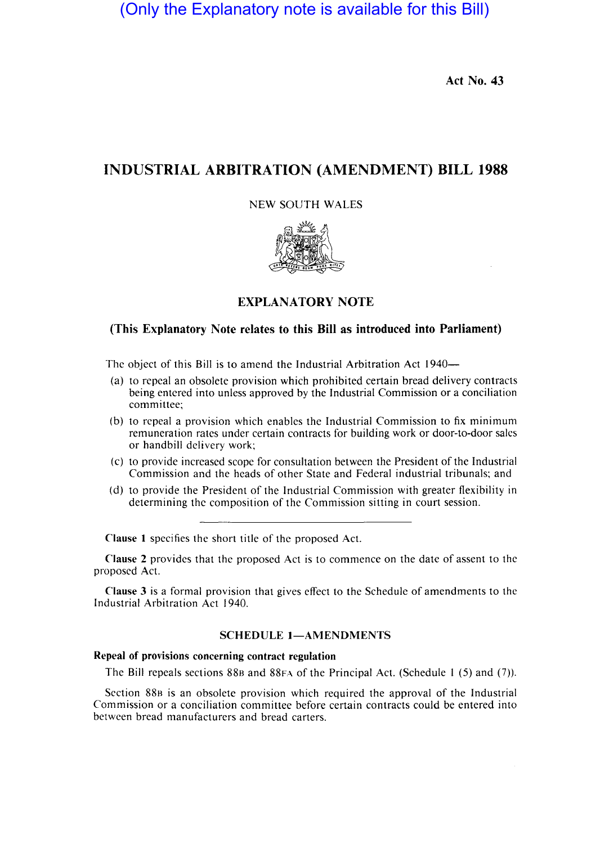(Only the Explanatory note is available for this Bill)

Act No. 43

# INDUSTRIAL ARBITRATION (AMENDMENT) BILL 1988

### NEW SOUTH WALES



## EXPLANATORY NOTE

# (This Explanatory Note relates to this Bill as introduced into Parliament)

The object of this Bill is to amend the Industrial Arbitration Act 1940—

- (a) to repeal an obsolete provision which prohibited certain bread delivery contracts being entered into unless approved by the Industrial Commission or a conciliation committee;
- (b) to repeal a provision which enables the Industrial Commission to fix minimum remuneration rates under certain contracts for building work or door-to-door sales or handbill delivery work;
- (c) to provide increased scope for consultation between the President of the Industrial Commission and the heads of other State and Federal industrial tribunals; and
- (d) to provide the President of the Industrial Commission with greater flexibility in determining the composition of the Commission sitting in court session.

Clause I specifies the short title of the proposed Act.

Clause 2 provides that the proposed Act is to commence on the date of assent to the proposed Act.

Clause 3 is a formal provision that gives effect to the Schedule of amendments to the Industrial Arbitration Act 1940.

### SCHEDULE 1-AMENDMENTS

# Repeal of provisions concerning contract regulation

The Bill repeals sections 88B and 88FA of the Principal Act. (Schedule I (5) and (7».

Section 88B is an obsolete provision which required the approval of the Industrial Commission or a conciliation committee before certain contracts could be entered into between bread manufacturers and bread carters.